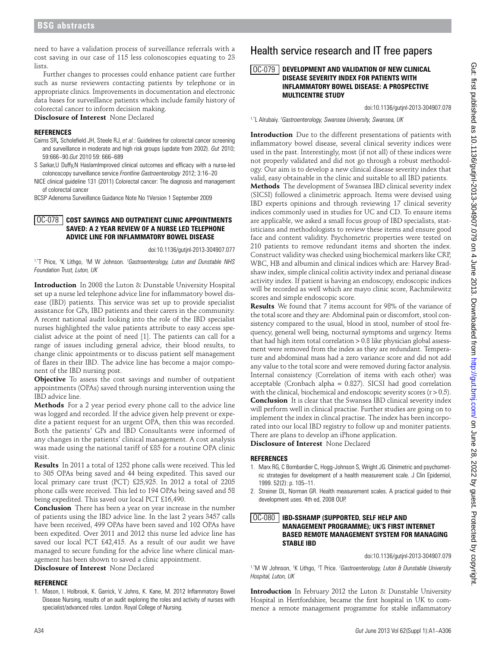need to have a validation process of surveillance referrals with a cost saving in our case of 115 less colonoscopies equating to 23 lists.

Further changes to processes could enhance patient care further such as nurse reviewers contacting patients by telephone or in appropriate clinics. Improvements in documentation and electronic data bases for surveillance patients which include family history of colorectal cancer to inform decision making.

**Disclosure of Interest** None Declared

### **References**

- Cairns SR**,** Scholefield JH, Steele RJ, *et al.*: Guidelines for colorectal cancer screening and surveillance in moderate and high risk groups (update from 2002). *Gut* 2010; 59:666–90.*Gut* 2010 59: 666–689
- S Sarkar,U Duffy,N HaslamImproved clinical outcomes and efficacy with a nurse-led colonoscopy surveillance service *Frontline Gastroenterology* 2012; 3:16–20
- NICE clinical guideline 131 (2011) Colorectal cancer: The diagnosis and management of colorectal cancer

BCSP Adenoma Surveillance Guidance Note No 1Version 1 September 2009

## **COST SAVINGS AND OUTPATIENT CLINIC APPOINTMENTS**  OC-078 **SAVED: A 2 YEAR REVIEW OF A NURSE LED TELEPHONE ADVICE LINE FOR INFLAMMATORY BOWEL DISEASE**

doi:10.1136/gutjnl-2013-304907.077

<sup>1,\*</sup>T Price, <sup>1</sup>K Lithgo, <sup>1</sup>M W Johnson. <sup>1</sup>Gastroenterology, Luton and Dunstable NHS *Foundation Trust, Luton, UK*

**Introduction** In 2008 the Luton & Dunstable University Hospital set up a nurse led telephone advice line for inflammatory bowel disease (IBD) patients. This service was set up to provide specialist assistance for GPs, IBD patients and their carers in the community. A recent national audit looking into the role of the IBD specialist nurses highlighted the value patients attribute to easy access specialist advice at the point of need [1]. The patients can call for a range of issues including general advice, their blood results, to change clinic appointments or to discuss patient self management of flares in their IBD. The advice line has become a major component of the IBD nursing post.

**Objective** To assess the cost savings and number of outpatient appointments (OPAs) saved through nursing intervention using the IBD advice line.

**Methods** For a 2 year period every phone call to the advice line was logged and recorded. If the advice given help prevent or expedite a patient request for an urgent OPA, then this was recorded. Both the patients' GPs and IBD Consultants were informed of any changes in the patients' clinical management. A cost analysis was made using the national tariff of £85 for a routine OPA clinic visit.

**Results** In 2011 a total of 1252 phone calls were received. This led to 305 OPAs being saved and 44 being expedited. This saved our local primary care trust (PCT) £25,925. In 2012 a total of 2205 phone calls were received. This led to 194 OPAs being saved and 58 being expedited. This saved our local PCT £16,490.

**Conclusion** There has been a year on year increase in the number of patients using the IBD advice line. In the last 2 years 3457 calls have been received, 499 OPAs have been saved and 102 OPAs have been expedited. Over 2011 and 2012 this nurse led advice line has saved our local PCT £42,415. As a result of our audit we have managed to secure funding for the advice line where clinical management has been shown to saved a clinic appointment.

**Disclosure of Interest** None Declared

## **Reference**

1. Mason, I. Holbrook, K. Garrick, V. Johns, K. Kane, M. 2012 Inflammatory Bowel Disease Nursing, results of an audit exploring the roles and activity of nurses with specialist/advanced roles. London. Royal College of Nursing.

# Health service research and IT free papers

#### **DEVELOPMENT AND VALIDATION OF NEW CLINICAL DISEASE SEVERITY INDEX FOR PATIENTS WITH INFLAMMATORY BOWEL DISEASE: A PROSPECTIVE MULTICENTRE STUDY**  $\boxed{OC-079}$

doi:10.1136/gutjnl-2013-304907.078

1,\*L Alrubaiy. *<sup>1</sup> Gastroenterology, Swansea University, Swansea, UK*

**Introduction** Due to the different presentations of patients with inflammatory bowel disease, several clinical severity indices were used in the past. Interestingly, most (if not all) of these indices were not properly validated and did not go through a robust methodology. Our aim is to develop a new clinical disease severity index that valid, easy obtainable in the clinic and suitable to all IBD patients.

**Methods** The development of Swansea IBD clinical severity index (SICSI) followed a clinimetric approach. Items were devised using IBD experts opinions and through reviewing 17 clinical severity indices commonly used in studies for UC and CD. To ensure items are applicable, we asked a small focus group of IBD specialists, statisticians and methodologists to review these items and ensure good face and content validity. Psychometric properties were tested on 210 patients to remove redundant items and shorten the index. Construct validity was checked using biochemical markers like CRP, WBC, HB and albumin and clinical indices which are: Harvey Bradshaw index, simple clinical colitis activity index and perianal disease activity index. If patient is having an endoscopy, endoscopic indices will be recorded as well which are mayo clinic score, Rachmilewitz scores and simple endoscopic score.

**Results** We found that 7 items account for 98% of the variance of the total score and they are: Abdominal pain or discomfort, stool consistency compared to the usual, blood in stool, number of stool frequency, general well being, nocturnal symptoms and urgency. Items that had high item total correlation > 0.8 like physician global assessment were removed from the index as they are redundant. Temperature and abdominal mass had a zero variance score and did not add any value to the total score and were removed during factor analysis. Internal consistency (Correlation of items with each other) was acceptable (Cronbach alpha = 0.827). SICSI had good correlation with the clinical, biochemical and endoscopic severity scores  $(r > 0.5)$ . **Conclusion** It is clear that the Swansea IBD clinical severity index will perform well in clinical practise. Further studies are going on to implement the index in clincal practise. The index has been incorporated into our local IBD registry to follow up and moniter patients. There are plans to develop an iPhone application.

**Disclosure of Interest** None Declared

## **References**

- 1. Marx RG, C Bombardier C, Hogg-Johnson S, Wright JG. Clinimetric and psychometric strategies for development of a health measurement scale. J Clin Epidemiol, 1999. 52(2): p. 105–11.
- 2. Streiner DL, Norman GR. Health measurement scales. A practical guided to their development uses. 4th ed, 2008 OUP.

#### **IBD-SSHAMP (SUPPORTED, SELF HELP AND MANAGEMENT PROGRAMME); UK'S FIRST INTERNET BASED REMOTE MANAGEMENT SYSTEM FOR MANAGING STABLE IBD** OC-080

doi:10.1136/gutjnl-2013-304907.079

<sup>1,\*</sup>M W Johnson, <sup>1</sup>K Lithgo, <sup>1</sup>T Price. *<sup>1</sup>Gastroenterology, Luton & Dunstable University Hospital, Luton, UK*

**Introduction** In February 2012 the Luton & Dunstable University Hospital in Hertfordshire, became the first hospital in UK to commence a remote management programme for stable inflammatory